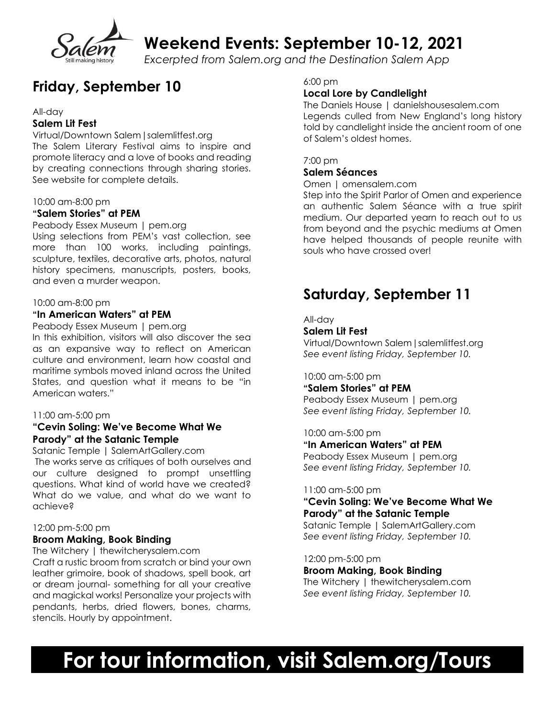

**Weekend Events: September 10-12, 2021**

*Excerpted from Salem.org and the Destination Salem App*

# **Friday, September 10**

#### All-day

### **Salem Lit Fest**

Virtual/Downtown Salem | salemlitfest.org The Salem Literary Festival aims to inspire and promote literacy and a love of books and reading by creating connections through sharing stories. See website for complete details.

#### 10:00 am-8:00 pm

#### **"Salem Stories" at PEM**

Peabody Essex Museum | pem.org Using selections from PEM's vast collection, see more than 100 works, including paintings, sculpture, textiles, decorative arts, photos, natural history specimens, manuscripts, posters, books, and even a murder weapon.

#### 10:00 am-8:00 pm

#### **"In American Waters" at PEM**

Peabody Essex Museum | pem.org In this exhibition, visitors will also discover the sea as an expansive way to reflect on American culture and environment, learn how coastal and maritime symbols moved inland across the United States, and question what it means to be "in American waters."

#### 11:00 am-5:00 pm

### **"Cevin Soling: We've Become What We Parody" at the Satanic Temple**

Satanic Temple | SalemArtGallery.com The works serve as critiques of both ourselves and our culture designed to prompt unsettling questions. What kind of world have we created? What do we value, and what do we want to achieve?

#### 12:00 pm-5:00 pm

### **Broom Making, Book Binding**

The Witchery | thewitcherysalem.com Craft a rustic broom from scratch or bind your own leather grimoire, book of shadows, spell book, art or dream journal- something for all your creative and magickal works! Personalize your projects with pendants, herbs, dried flowers, bones, charms, stencils. Hourly by appointment.

#### 6:00 pm

### **Local Lore by Candlelight**

The Daniels House | danielshousesalem.com Legends culled from New England's long history told by candlelight inside the ancient room of one of Salem's oldest homes.

#### 7:00 pm

#### **Salem Séances**

Omen | omensalem.com

Step into the Spirit Parlor of Omen and experience an authentic Salem Séance with a true spirit medium. Our departed yearn to reach out to us from beyond and the psychic mediums at Omen have helped thousands of people reunite with souls who have crossed over!

# **Saturday, September 11**

All-day

#### **Salem Lit Fest**

Virtual/Downtown Salem | salemlitfest.org *See event listing Friday, September 10.*

10:00 am-5:00 pm

#### **"Salem Stories" at PEM**

Peabody Essex Museum | pem.org *See event listing Friday, September 10.*

10:00 am-5:00 pm

**"In American Waters" at PEM** Peabody Essex Museum | pem.org

*See event listing Friday, September 10.*

#### 11:00 am-5:00 pm

## **"Cevin Soling: We've Become What We Parody" at the Satanic Temple**

Satanic Temple | SalemArtGallery.com *See event listing Friday, September 10.*

12:00 pm-5:00 pm **Broom Making, Book Binding** The Witchery | thewitcherysalem.com

*See event listing Friday, September 10.*

# **For tour information, visit Salem.org/Tours**